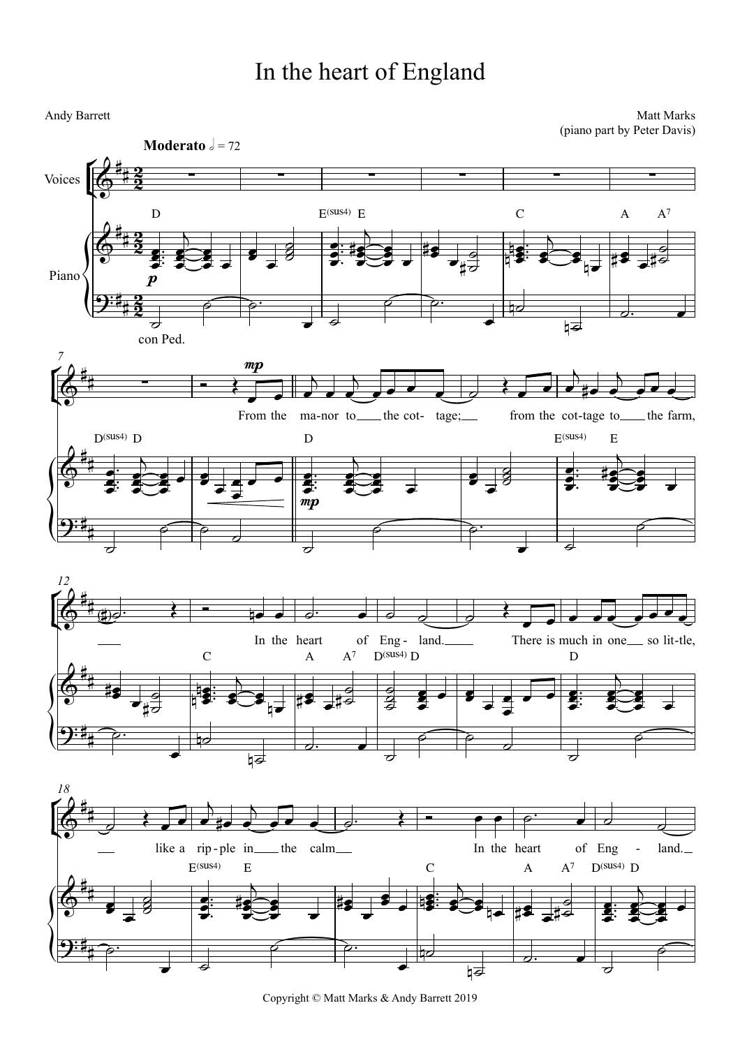## In the heart of England

Andy Barrett

Matt Marks (piano part by Peter Davis)



Copyright © Matt Marks & Andy Barrett 2019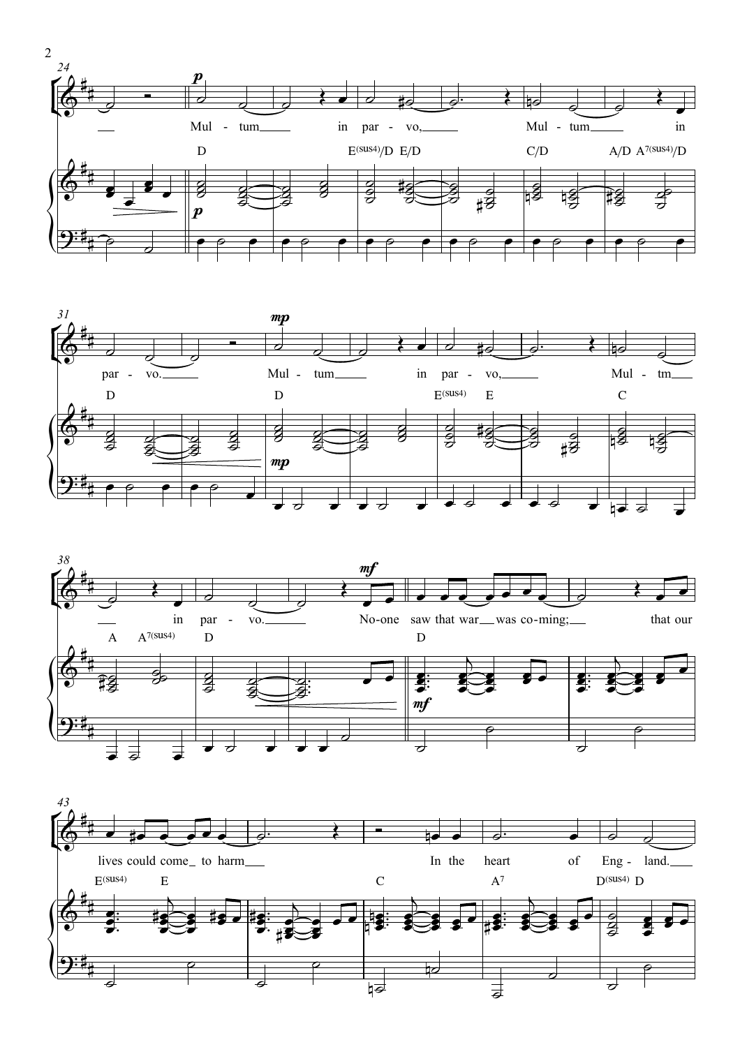





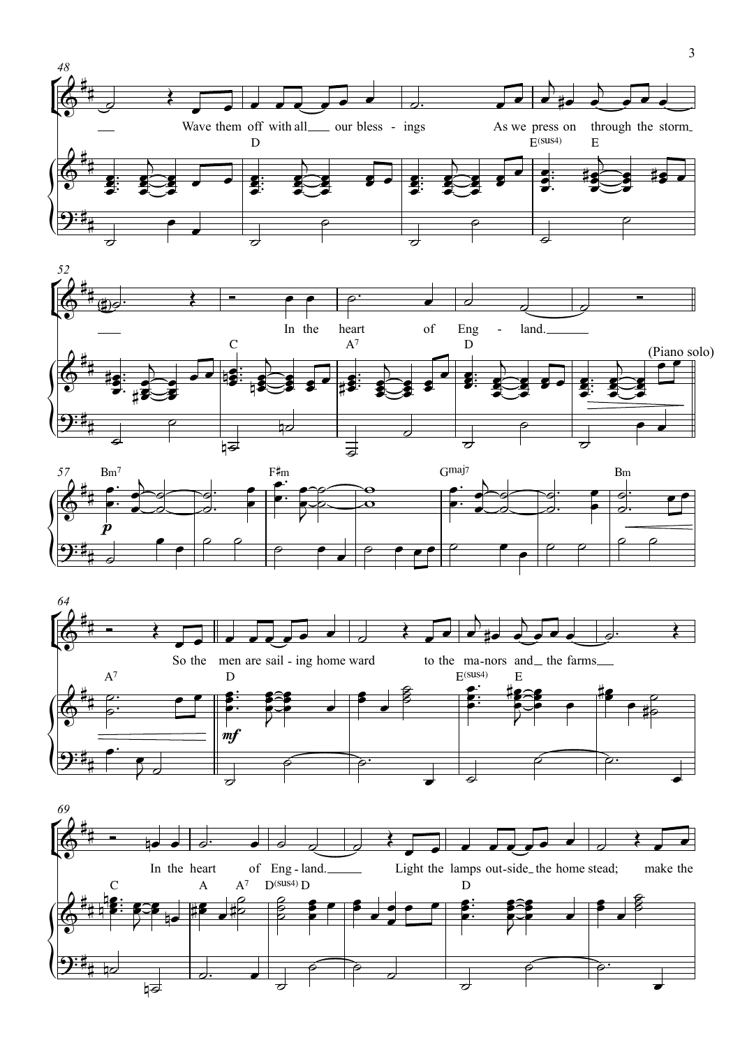







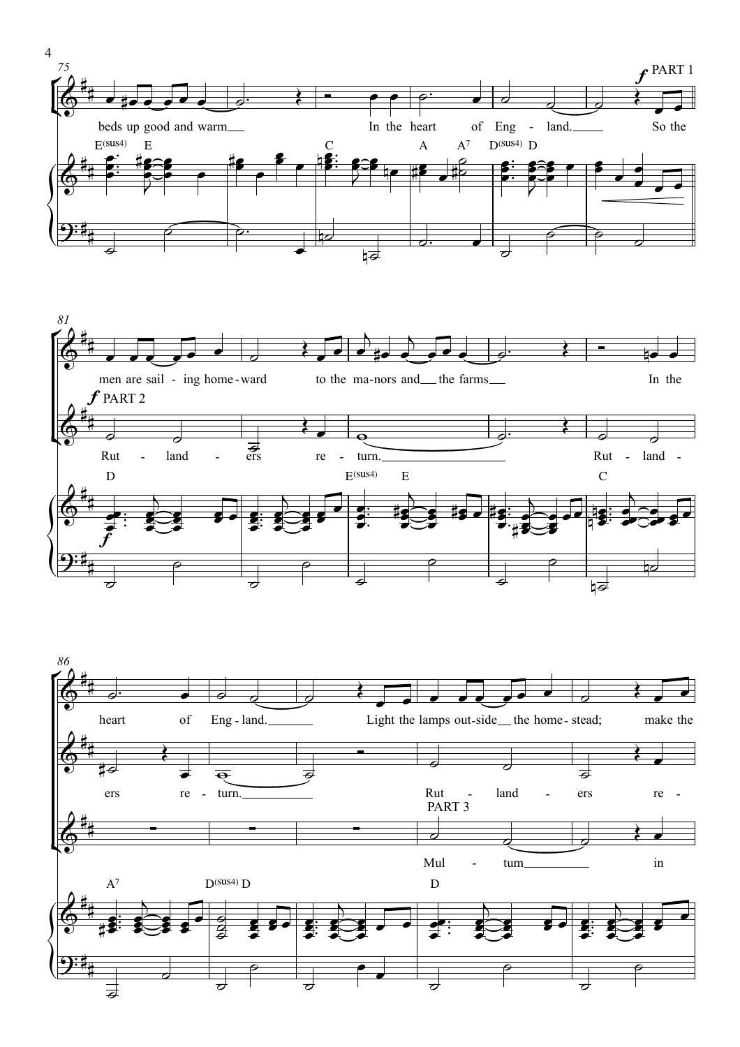